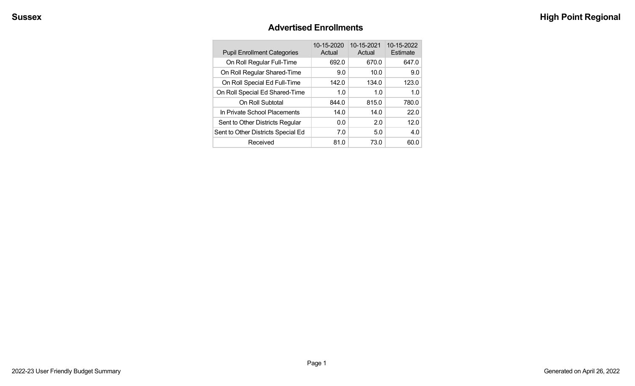#### **Advertised Enrollments**

| <b>Pupil Enrollment Categories</b> | 10-15-2020<br>Actual | 10-15-2021<br>Actual | 10-15-2022<br>Estimate |
|------------------------------------|----------------------|----------------------|------------------------|
| On Roll Regular Full-Time          | 692.0                | 670.0                | 647.0                  |
| On Roll Regular Shared-Time        | 9.0                  | 10.0                 | 9.0                    |
| On Roll Special Ed Full-Time       | 142.0                | 134.0                | 123.0                  |
| On Roll Special Ed Shared-Time     | 1.0                  | 1.0                  | 1.0                    |
| On Roll Subtotal                   | 844.0                | 815.0                | 780.0                  |
| In Private School Placements       | 14.0                 | 14.0                 | 22.0                   |
| Sent to Other Districts Regular    | 0.0                  | 2.0                  | 12.0                   |
| Sent to Other Districts Special Ed | 7.0                  | 5.0                  | 4.0                    |
| Received                           | 81.0                 | 73.0                 | 60.0                   |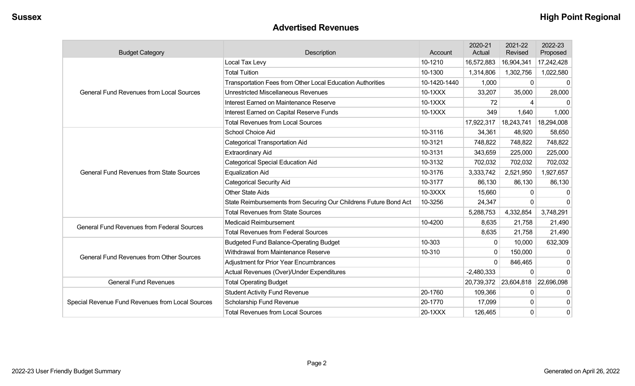#### **Advertised Revenues**

| <b>Budget Category</b>                            | Description                                                      | Account      | 2020-21<br>Actual     | 2021-22<br>Revised | 2022-23<br>Proposed |
|---------------------------------------------------|------------------------------------------------------------------|--------------|-----------------------|--------------------|---------------------|
|                                                   | Local Tax Levy                                                   | 10-1210      | 16,572,883            | 16,904,341         | 17,242,428          |
|                                                   | <b>Total Tuition</b>                                             | 10-1300      | 1,314,806             | 1,302,756          | 1,022,580           |
|                                                   | Transportation Fees from Other Local Education Authorities       | 10-1420-1440 | 1,000                 | $\Omega$           |                     |
| <b>General Fund Revenues from Local Sources</b>   | <b>Unrestricted Miscellaneous Revenues</b>                       | 10-1XXX      | 33,207                | 35,000             | 28,000              |
|                                                   | Interest Earned on Maintenance Reserve                           | 10-1XXX      | 72                    | 4                  | 0                   |
|                                                   | Interest Earned on Capital Reserve Funds                         | 10-1XXX      | 349                   | 1,640              | 1,000               |
|                                                   | <b>Total Revenues from Local Sources</b>                         |              | 17,922,317            | 18,243,741         | 18,294,008          |
|                                                   | School Choice Aid                                                | 10-3116      | 34,361                | 48,920             | 58,650              |
|                                                   | <b>Categorical Transportation Aid</b>                            | 10-3121      | 748,822               | 748,822            | 748,822             |
|                                                   | <b>Extraordinary Aid</b>                                         | 10-3131      | 343,659               | 225,000            | 225,000             |
|                                                   | <b>Categorical Special Education Aid</b>                         | 10-3132      | 702,032               | 702,032            | 702,032             |
| <b>General Fund Revenues from State Sources</b>   | <b>Equalization Aid</b>                                          | 10-3176      | 3,333,742             | 2,521,950          | 1,927,657           |
|                                                   | <b>Categorical Security Aid</b>                                  | 10-3177      | 86,130                | 86,130             | 86,130              |
|                                                   | <b>Other State Aids</b>                                          | 10-3XXX      | 15,660                | $\Omega$           |                     |
|                                                   | State Reimbursements from Securing Our Childrens Future Bond Act | 10-3256      | 24,347                | $\Omega$           | $\Omega$            |
|                                                   | <b>Total Revenues from State Sources</b>                         |              | 5,288,753             | 4,332,854          | 3,748,291           |
| <b>General Fund Revenues from Federal Sources</b> | <b>Medicaid Reimbursement</b>                                    | 10-4200      | 8,635                 | 21,758             | 21,490              |
|                                                   | <b>Total Revenues from Federal Sources</b>                       |              | 8,635                 | 21,758             | 21,490              |
|                                                   | <b>Budgeted Fund Balance-Operating Budget</b>                    | 10-303       | $\mathbf{0}$          | 10,000             | 632,309             |
| <b>General Fund Revenues from Other Sources</b>   | Withdrawal from Maintenance Reserve                              | 10-310       | $\Omega$              | 150,000            |                     |
|                                                   | Adjustment for Prior Year Encumbrances                           |              | $\Omega$              | 846,465            | $\Omega$            |
|                                                   | Actual Revenues (Over)/Under Expenditures                        |              | $-2,480,333$          | $\Omega$           | $\Omega$            |
| <b>General Fund Revenues</b>                      | <b>Total Operating Budget</b>                                    |              | 20,739,372 23,604,818 |                    | 22,696,098          |
|                                                   | <b>Student Activity Fund Revenue</b>                             | 20-1760      | 109,366               | $\mathbf{0}$       | 0                   |
| Special Revenue Fund Revenues from Local Sources  | Scholarship Fund Revenue                                         | 20-1770      | 17,099                | $\mathbf{0}$       | 0                   |
|                                                   | <b>Total Revenues from Local Sources</b>                         | 20-1XXX      | 126,465               | $\mathbf{0}$       | 0                   |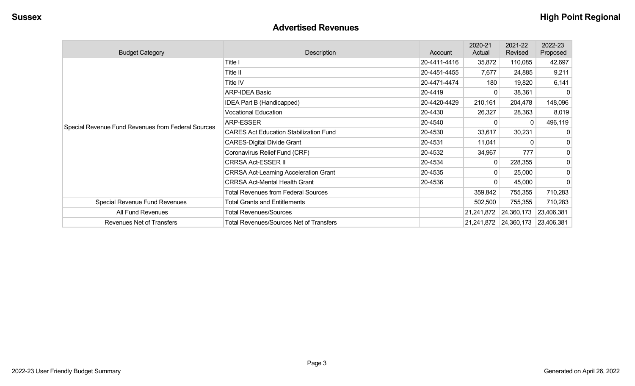#### **Advertised Revenues**

| <b>Budget Category</b>                             | Description                                    | Account      | 2020-21<br>Actual     | 2021-22<br>Revised               | 2022-23<br>Proposed |
|----------------------------------------------------|------------------------------------------------|--------------|-----------------------|----------------------------------|---------------------|
|                                                    | Title I                                        | 20-4411-4416 | 35,872                | 110,085                          | 42,697              |
|                                                    | Title II                                       | 20-4451-4455 | 7,677                 | 24,885                           | 9,211               |
|                                                    | Title IV                                       | 20-4471-4474 | 180                   | 19,820                           | 6,141               |
|                                                    | <b>ARP-IDEA Basic</b>                          | 20-4419      | 0                     | 38,361                           | $\Omega$            |
|                                                    | IDEA Part B (Handicapped)                      | 20-4420-4429 | 210,161               | 204,478                          | 148,096             |
|                                                    | <b>Vocational Education</b>                    | 20-4430      | 26,327                | 28,363                           | 8,019               |
|                                                    | <b>ARP-ESSER</b>                               | 20-4540      |                       | $\Omega$                         | 496,119             |
| Special Revenue Fund Revenues from Federal Sources | <b>CARES Act Education Stabilization Fund</b>  | 20-4530      | 33,617                | 30,231                           | 0                   |
|                                                    | <b>CARES-Digital Divide Grant</b>              | 20-4531      | 11,041                |                                  | 0                   |
|                                                    | Coronavirus Relief Fund (CRF)                  | 20-4532      | 34,967                | 777                              | 0                   |
|                                                    | CRRSA Act-ESSER II                             | 20-4534      | 0                     | 228,355                          | 0                   |
|                                                    | <b>CRRSA Act-Learning Acceleration Grant</b>   | 20-4535      |                       | 25,000                           | 0                   |
|                                                    | <b>CRRSA Act-Mental Health Grant</b>           | 20-4536      |                       | 45,000                           | $\mathbf{0}$        |
|                                                    | <b>Total Revenues from Federal Sources</b>     |              | 359,842               | 755,355                          | 710,283             |
| Special Revenue Fund Revenues                      | <b>Total Grants and Entitlements</b>           |              | 502,500               | 755,355                          | 710,283             |
| All Fund Revenues                                  | <b>Total Revenues/Sources</b>                  |              | 21,241,872 24,360,173 |                                  | 23,406,381          |
| Revenues Net of Transfers                          | <b>Total Revenues/Sources Net of Transfers</b> |              |                       | 21,241,872 24,360,173 23,406,381 |                     |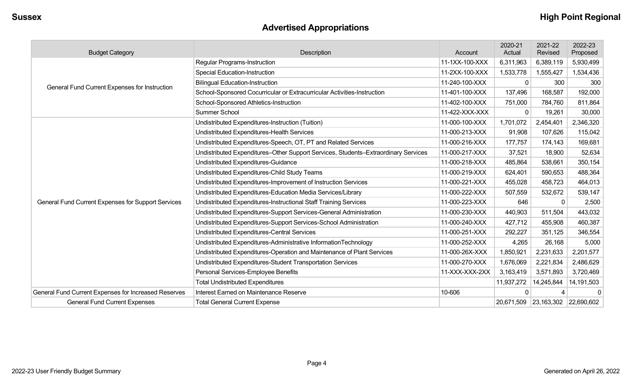# **Advertised Appropriations**

| <b>Budget Category</b>                               | Description                                                                        | Account        | 2020-21<br>Actual | 2021-22<br>Revised    | 2022-23<br>Proposed |
|------------------------------------------------------|------------------------------------------------------------------------------------|----------------|-------------------|-----------------------|---------------------|
|                                                      | <b>Regular Programs-Instruction</b>                                                | 11-1XX-100-XXX | 6,311,963         | 6,389,119             | 5,930,499           |
|                                                      | <b>Special Education-Instruction</b>                                               | 11-2XX-100-XXX | 1,533,778         | 1,555,427             | 1,534,436           |
|                                                      | <b>Bilingual Education-Instruction</b>                                             | 11-240-100-XXX | $\mathbf{0}$      | 300                   | 300                 |
| General Fund Current Expenses for Instruction        | School-Sponsored Cocurricular or Extracurricular Activities-Instruction            | 11-401-100-XXX | 137,496           | 168,587               | 192,000             |
|                                                      | School-Sponsored Athletics-Instruction                                             | 11-402-100-XXX | 751,000           | 784,760               | 811,864             |
|                                                      | Summer School                                                                      | 11-422-XXX-XXX | $\Omega$          | 19,261                | 30,000              |
|                                                      | Undistributed Expenditures-Instruction (Tuition)                                   | 11-000-100-XXX | 1,701,072         | 2,454,401             | 2,346,320           |
|                                                      | Undistributed Expenditures-Health Services                                         | 11-000-213-XXX | 91,908            | 107,626               | 115,042             |
|                                                      | Undistributed Expenditures-Speech, OT, PT and Related Services                     | 11-000-216-XXX | 177,757           | 174,143               | 169,681             |
|                                                      | Undistributed Expenditures-Other Support Services, Students-Extraordinary Services | 11-000-217-XXX | 37,521            | 18,900                | 52,634              |
|                                                      | Undistributed Expenditures-Guidance                                                | 11-000-218-XXX | 485,864           | 538,661               | 350,154             |
|                                                      | Undistributed Expenditures-Child Study Teams                                       | 11-000-219-XXX | 624,401           | 590,653               | 488,364             |
|                                                      | Undistributed Expenditures-Improvement of Instruction Services                     | 11-000-221-XXX | 455,028           | 458,723               | 464,013             |
|                                                      | Undistributed Expenditures-Education Media Services/Library                        | 11-000-222-XXX | 507,559           | 532,672               | 539,147             |
| General Fund Current Expenses for Support Services   | Undistributed Expenditures-Instructional Staff Training Services                   | 11-000-223-XXX | 646               | $\Omega$              | 2,500               |
|                                                      | Undistributed Expenditures-Support Services-General Administration                 | 11-000-230-XXX | 440,903           | 511,504               | 443,032             |
|                                                      | Undistributed Expenditures-Support Services-School Administration                  | 11-000-240-XXX | 427,712           | 455,908               | 460,387             |
|                                                      | Undistributed Expenditures-Central Services                                        | 11-000-251-XXX | 292,227           | 351,125               | 346,554             |
|                                                      | Undistributed Expenditures-Administrative InformationTechnology                    | 11-000-252-XXX | 4,265             | 26,168                | 5,000               |
|                                                      | Undistributed Expenditures-Operation and Maintenance of Plant Services             | 11-000-26X-XXX | 1,850,921         | 2,231,633             | 2,201,577           |
|                                                      | Undistributed Expenditures-Student Transportation Services                         | 11-000-270-XXX | 1,676,069         | 2,221,834             | 2,486,629           |
|                                                      | Personal Services-Employee Benefits                                                | 11-XXX-XXX-2XX | 3,163,419         | 3,571,893             | 3,720,469           |
|                                                      | <b>Total Undistributed Expenditures</b>                                            |                | 11,937,272        | 14,245,844            | 14,191,503          |
| General Fund Current Expenses for Increased Reserves | Interest Earned on Maintenance Reserve                                             | 10-606         | $\Omega$          |                       | $\Omega$            |
| <b>General Fund Current Expenses</b>                 | <b>Total General Current Expense</b>                                               |                |                   | 20,671,509 23,163,302 | 22,690,602          |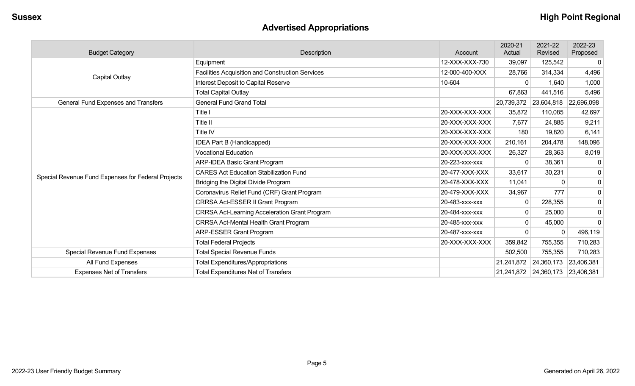# **Advertised Appropriations**

| <b>Budget Category</b>                             | Description                                          | Account        | 2020-21<br>Actual | 2021-22<br>Revised    | 2022-23<br>Proposed |
|----------------------------------------------------|------------------------------------------------------|----------------|-------------------|-----------------------|---------------------|
|                                                    | Equipment                                            | 12-XXX-XXX-730 | 39,097            | 125,542               | $\overline{0}$      |
| Capital Outlay                                     | Facilities Acquisition and Construction Services     | 12-000-400-XXX | 28,766            | 314,334               | 4,496               |
|                                                    | Interest Deposit to Capital Reserve                  | 10-604         | 0                 | 1,640                 | 1,000               |
|                                                    | <b>Total Capital Outlay</b>                          |                | 67,863            | 441,516               | 5,496               |
| General Fund Expenses and Transfers                | <b>General Fund Grand Total</b>                      |                |                   | 20,739,372 23,604,818 | 22,696,098          |
|                                                    | Title I                                              | 20-XXX-XXX-XXX | 35,872            | 110,085               | 42,697              |
|                                                    | Title II                                             | 20-XXX-XXX-XXX | 7,677             | 24,885                | 9,211               |
|                                                    | Title IV                                             | 20-XXX-XXX-XXX | 180               | 19,820                | 6,141               |
|                                                    | IDEA Part B (Handicapped)                            | 20-XXX-XXX-XXX | 210,161           | 204,478               | 148,096             |
|                                                    | <b>Vocational Education</b>                          | 20-XXX-XXX-XXX | 26,327            | 28,363                | 8,019               |
|                                                    | <b>ARP-IDEA Basic Grant Program</b>                  | 20-223-xxx-xxx | 0                 | 38,361                | $\mathbf 0$         |
| Special Revenue Fund Expenses for Federal Projects | <b>CARES Act Education Stabilization Fund</b>        | 20-477-XXX-XXX | 33,617            | 30,231                | $\pmb{0}$           |
|                                                    | Bridging the Digital Divide Program                  | 20-478-XXX-XXX | 11,041            | $\Omega$              | $\mathbf 0$         |
|                                                    | Coronavirus Relief Fund (CRF) Grant Program          | 20-479-XXX-XXX | 34,967            | 777                   | $\overline{0}$      |
|                                                    | CRRSA Act-ESSER II Grant Program                     | 20-483-xxx-xxx | 0                 | 228,355               | $\mathbf 0$         |
|                                                    | <b>CRRSA Act-Learning Acceleration Grant Program</b> | 20-484-xxx-xxx | 0                 | 25,000                | $\overline{0}$      |
|                                                    | <b>CRRSA Act-Mental Health Grant Program</b>         | 20-485-xxx-xxx | 0                 | 45,000                | $\overline{0}$      |
|                                                    | <b>ARP-ESSER Grant Program</b>                       | 20-487-xxx-xxx |                   | $\Omega$              | 496,119             |
|                                                    | <b>Total Federal Projects</b>                        | 20-XXX-XXX-XXX | 359,842           | 755,355               | 710,283             |
| Special Revenue Fund Expenses                      | <b>Total Special Revenue Funds</b>                   |                | 502,500           | 755,355               | 710,283             |
| All Fund Expenses                                  | <b>Total Expenditures/Appropriations</b>             |                | 21,241,872        | 24,360,173            | 23,406,381          |
| <b>Expenses Net of Transfers</b>                   | <b>Total Expenditures Net of Transfers</b>           |                |                   | 21,241,872 24,360,173 | 23,406,381          |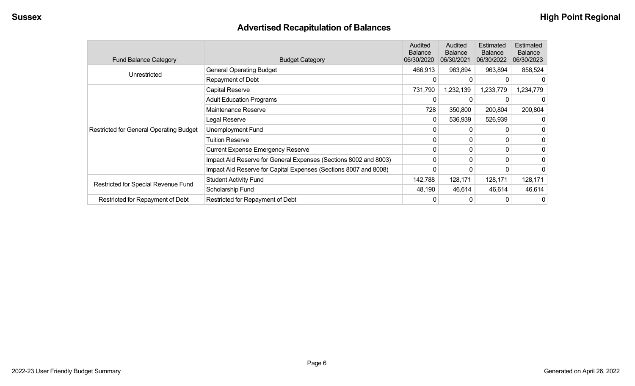# **Advertised Recapitulation of Balances**

| <b>Fund Balance Category</b>                   | <b>Budget Category</b>                                           | Audited<br><b>Balance</b><br>06/30/2020 | Audited<br><b>Balance</b><br>06/30/2021 | Estimated<br><b>Balance</b><br>06/30/2022 | Estimated<br><b>Balance</b><br>06/30/2023 |
|------------------------------------------------|------------------------------------------------------------------|-----------------------------------------|-----------------------------------------|-------------------------------------------|-------------------------------------------|
| Unrestricted                                   | <b>General Operating Budget</b>                                  | 466,913                                 | 963,894                                 | 963,894                                   | 858,524                                   |
|                                                | Repayment of Debt                                                |                                         | $\Omega$                                | 0                                         |                                           |
|                                                | Capital Reserve                                                  | 731,790                                 | 1,232,139                               | 1,233,779                                 | 1,234,779                                 |
|                                                | <b>Adult Education Programs</b>                                  |                                         |                                         |                                           |                                           |
|                                                | Maintenance Reserve                                              | 728                                     | 350,800                                 | 200,804                                   | 200,804                                   |
|                                                | Legal Reserve                                                    | 0                                       | 536,939                                 | 526,939                                   |                                           |
| <b>Restricted for General Operating Budget</b> | Unemployment Fund                                                | $\mathbf{0}$                            | 0                                       |                                           | 0                                         |
|                                                | <b>Tuition Reserve</b>                                           | 0                                       | 0                                       | 0                                         | 0                                         |
|                                                | <b>Current Expense Emergency Reserve</b>                         | $\mathbf 0$                             | $\mathbf{0}$                            | 0                                         |                                           |
|                                                | Impact Aid Reserve for General Expenses (Sections 8002 and 8003) | 0                                       | 0                                       | 0                                         |                                           |
|                                                | Impact Aid Reserve for Capital Expenses (Sections 8007 and 8008) | 0                                       |                                         | 0                                         |                                           |
|                                                | <b>Student Activity Fund</b>                                     | 142,788                                 | 128,171                                 | 128,171                                   | 128,171                                   |
| Restricted for Special Revenue Fund            | Scholarship Fund                                                 | 48,190                                  | 46,614                                  | 46,614                                    | 46,614                                    |
| Restricted for Repayment of Debt               | Restricted for Repayment of Debt                                 |                                         | 0                                       | 0                                         | 0                                         |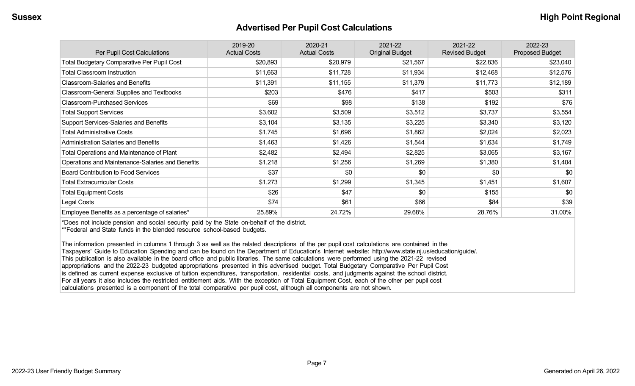#### **Advertised Per Pupil Cost Calculations**

| Per Pupil Cost Calculations                       | 2019-20<br><b>Actual Costs</b> | 2020-21<br><b>Actual Costs</b> | 2021-22<br><b>Original Budget</b> | 2021-22<br><b>Revised Budget</b> | 2022-23<br><b>Proposed Budget</b> |
|---------------------------------------------------|--------------------------------|--------------------------------|-----------------------------------|----------------------------------|-----------------------------------|
| <b>Total Budgetary Comparative Per Pupil Cost</b> | \$20,893                       | \$20,979                       | \$21,567                          | \$22,836                         | \$23,040                          |
| <b>Total Classroom Instruction</b>                | \$11,663                       | \$11,728                       | \$11,934                          | \$12,468                         | \$12,576                          |
| <b>Classroom-Salaries and Benefits</b>            | \$11,391                       | \$11,155                       | \$11,379                          | \$11,773                         | \$12,189                          |
| Classroom-General Supplies and Textbooks          | \$203                          | \$476                          | \$417                             | \$503                            | \$311                             |
| <b>Classroom-Purchased Services</b>               | \$69                           | \$98                           | \$138                             | \$192                            | \$76                              |
| <b>Total Support Services</b>                     | \$3,602                        | \$3,509                        | \$3,512                           | \$3,737                          | \$3,554                           |
| Support Services-Salaries and Benefits            | \$3,104                        | \$3,135                        | \$3,225                           | \$3,340                          | \$3,120                           |
| <b>Total Administrative Costs</b>                 | \$1,745                        | \$1,696                        | \$1,862                           | \$2,024                          | \$2,023                           |
| <b>Administration Salaries and Benefits</b>       | \$1,463                        | \$1,426                        | \$1,544                           | \$1,634                          | \$1,749                           |
| Total Operations and Maintenance of Plant         | \$2,482                        | \$2,494                        | \$2,825                           | \$3,065                          | \$3,167                           |
| Operations and Maintenance-Salaries and Benefits  | \$1,218                        | \$1,256                        | \$1,269                           | \$1,380                          | \$1,404                           |
| <b>Board Contribution to Food Services</b>        | \$37                           | \$0                            | \$0                               | \$0                              | \$0                               |
| <b>Total Extracurricular Costs</b>                | \$1,273                        | \$1,299                        | \$1,345                           | \$1,451                          | \$1,607                           |
| <b>Total Equipment Costs</b>                      | \$26                           | \$47                           | \$0                               | \$155                            | \$0                               |
| Legal Costs                                       | \$74                           | \$61                           | \$66                              | \$84                             | \$39                              |
| Employee Benefits as a percentage of salaries*    | 25.89%                         | 24.72%                         | 29.68%                            | 28.76%                           | 31.00%                            |

\*Does not include pension and social security paid by the State on-behalf of the district.

\*\*Federal and State funds in the blended resource school-based budgets.

The information presented in columns 1 through 3 as well as the related descriptions of the per pupil cost calculations are contained in the Taxpayers' Guide to Education Spending and can be found on the Department of Education's Internet website: http://www.state.nj.us/education/guide/. This publication is also available in the board office and public libraries. The same calculations were performed using the 2021-22 revised appropriations and the 2022-23 budgeted appropriations presented in this advertised budget. Total Budgetary Comparative Per Pupil Cost is defined as current expense exclusive of tuition expenditures, transportation, residential costs, and judgments against the school district. For all years it also includes the restricted entitlement aids. With the exception of Total Equipment Cost, each of the other per pupil cost calculations presented is a component of the total comparative per pupil cost, although all components are not shown.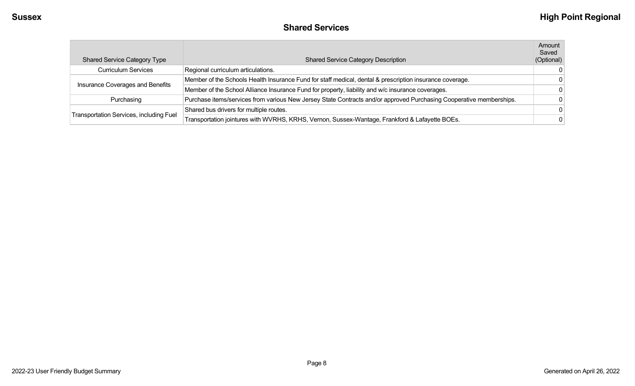| <b>Shared Services</b> |  |
|------------------------|--|
|------------------------|--|

| <b>Shared Service Category Type</b>     | <b>Shared Service Category Description</b>                                                                          | Amount<br>Saved<br>(Optional) |
|-----------------------------------------|---------------------------------------------------------------------------------------------------------------------|-------------------------------|
| <b>Curriculum Services</b>              | Regional curriculum articulations.                                                                                  | - 0                           |
| Insurance Coverages and Benefits        | Member of the Schools Health Insurance Fund for staff medical, dental & prescription insurance coverage.            | 0                             |
|                                         | Member of the School Alliance Insurance Fund for property, liability and w/c insurance coverages.                   |                               |
| Purchasing                              | Purchase items/services from various New Jersey State Contracts and/or approved Purchasing Cooperative memberships. |                               |
|                                         | Shared bus drivers for multiple routes.                                                                             | -0                            |
| Transportation Services, including Fuel | Transportation jointures with WVRHS, KRHS, Vernon, Sussex-Wantage, Frankford & Lafayette BOEs.                      | 0                             |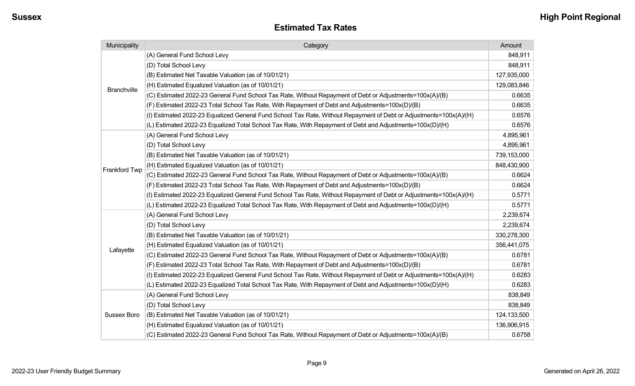| Municipality       | Category                                                                                                           |             |  |  |
|--------------------|--------------------------------------------------------------------------------------------------------------------|-------------|--|--|
|                    | (A) General Fund School Levy                                                                                       | 848,911     |  |  |
|                    | (D) Total School Levy                                                                                              | 848,911     |  |  |
|                    | (B) Estimated Net Taxable Valuation (as of 10/01/21)                                                               | 127,935,000 |  |  |
| <b>Branchville</b> | (H) Estimated Equalized Valuation (as of 10/01/21)                                                                 | 129,083,846 |  |  |
|                    | (C) Estimated 2022-23 General Fund School Tax Rate, Without Repayment of Debt or Adjustments=100x(A)/(B)           | 0.6635      |  |  |
|                    | (F) Estimated 2022-23 Total School Tax Rate, With Repayment of Debt and Adjustments=100x(D)/(B)                    | 0.6635      |  |  |
|                    | (I) Estimated 2022-23 Equalized General Fund School Tax Rate, Without Repayment of Debt or Adjustments=100x(A)/(H) | 0.6576      |  |  |
|                    | (L) Estimated 2022-23 Equalized Total School Tax Rate, With Repayment of Debt and Adjustments=100x(D)/(H)          | 0.6576      |  |  |
|                    | (A) General Fund School Levy                                                                                       | 4,895,961   |  |  |
|                    | (D) Total School Levy                                                                                              | 4,895,961   |  |  |
|                    | (B) Estimated Net Taxable Valuation (as of 10/01/21)                                                               | 739,153,000 |  |  |
|                    | (H) Estimated Equalized Valuation (as of 10/01/21)                                                                 | 848,430,900 |  |  |
| Frankford Twp      | (C) Estimated 2022-23 General Fund School Tax Rate, Without Repayment of Debt or Adjustments=100x(A)/(B)           | 0.6624      |  |  |
|                    | (F) Estimated 2022-23 Total School Tax Rate, With Repayment of Debt and Adjustments=100x(D)/(B)                    | 0.6624      |  |  |
|                    | (I) Estimated 2022-23 Equalized General Fund School Tax Rate, Without Repayment of Debt or Adjustments=100x(A)/(H) | 0.5771      |  |  |
|                    | (L) Estimated 2022-23 Equalized Total School Tax Rate, With Repayment of Debt and Adjustments=100x(D)/(H)          | 0.5771      |  |  |
|                    | (A) General Fund School Levy                                                                                       | 2,239,674   |  |  |
|                    | (D) Total School Levy                                                                                              | 2,239,674   |  |  |
|                    | (B) Estimated Net Taxable Valuation (as of 10/01/21)                                                               | 330,278,300 |  |  |
|                    | (H) Estimated Equalized Valuation (as of 10/01/21)                                                                 | 356,441,075 |  |  |
| Lafayette          | (C) Estimated 2022-23 General Fund School Tax Rate, Without Repayment of Debt or Adjustments=100x(A)/(B)           | 0.6781      |  |  |
|                    | (F) Estimated 2022-23 Total School Tax Rate, With Repayment of Debt and Adjustments=100x(D)/(B)                    | 0.6781      |  |  |
|                    | (I) Estimated 2022-23 Equalized General Fund School Tax Rate, Without Repayment of Debt or Adjustments=100x(A)/(H) | 0.6283      |  |  |
|                    | (L) Estimated 2022-23 Equalized Total School Tax Rate, With Repayment of Debt and Adjustments=100x(D)/(H)          | 0.6283      |  |  |
|                    | (A) General Fund School Levy                                                                                       | 838,849     |  |  |
|                    | (D) Total School Levy                                                                                              | 838,849     |  |  |
| Sussex Boro        | (B) Estimated Net Taxable Valuation (as of 10/01/21)                                                               | 124,133,500 |  |  |
|                    | (H) Estimated Equalized Valuation (as of 10/01/21)                                                                 | 136,906,915 |  |  |
|                    | (C) Estimated 2022-23 General Fund School Tax Rate, Without Repayment of Debt or Adjustments=100x(A)/(B)           | 0.6758      |  |  |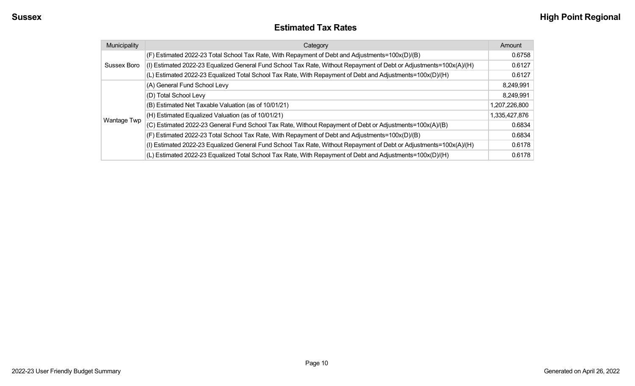#### **Estimated Tax Rates**

| Municipality | Category                                                                                                           | Amount        |
|--------------|--------------------------------------------------------------------------------------------------------------------|---------------|
|              | (F) Estimated 2022-23 Total School Tax Rate, With Repayment of Debt and Adjustments=100x(D)/(B)                    | 0.6758        |
| Sussex Boro  | (I) Estimated 2022-23 Equalized General Fund School Tax Rate, Without Repayment of Debt or Adjustments=100x(A)/(H) | 0.6127        |
|              | (L) Estimated 2022-23 Equalized Total School Tax Rate, With Repayment of Debt and Adjustments=100x(D)/(H)          | 0.6127        |
|              | (A) General Fund School Levy                                                                                       | 8,249,991     |
|              | (D) Total School Levy                                                                                              | 8,249,991     |
|              | (B) Estimated Net Taxable Valuation (as of 10/01/21)                                                               | 1,207,226,800 |
|              | (H) Estimated Equalized Valuation (as of 10/01/21)                                                                 | 1,335,427,876 |
| Wantage Twp  | (C) Estimated 2022-23 General Fund School Tax Rate, Without Repayment of Debt or Adjustments=100x(A)/(B)           | 0.6834        |
|              | (F) Estimated 2022-23 Total School Tax Rate, With Repayment of Debt and Adjustments=100x(D)/(B)                    | 0.6834        |
|              | (I) Estimated 2022-23 Equalized General Fund School Tax Rate, Without Repayment of Debt or Adjustments=100x(A)/(H) | 0.6178        |
|              | (L) Estimated 2022-23 Equalized Total School Tax Rate, With Repayment of Debt and Adjustments=100x(D)/(H)          | 0.6178        |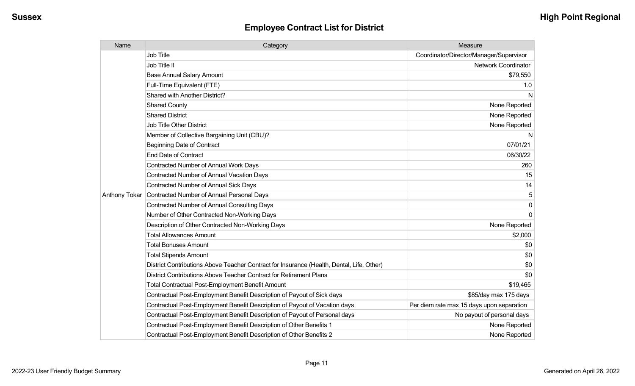| Name          | Category                                                                                  | Measure                                   |
|---------------|-------------------------------------------------------------------------------------------|-------------------------------------------|
|               | <b>Job Title</b>                                                                          | Coordinator/Director/Manager/Supervisor   |
|               | Job Title II                                                                              | <b>Network Coordinator</b>                |
|               | <b>Base Annual Salary Amount</b>                                                          | \$79,550                                  |
|               | Full-Time Equivalent (FTE)                                                                | 1.0                                       |
|               | Shared with Another District?                                                             | N                                         |
|               | <b>Shared County</b>                                                                      | None Reported                             |
|               | <b>Shared District</b>                                                                    | None Reported                             |
|               | <b>Job Title Other District</b>                                                           | None Reported                             |
|               | Member of Collective Bargaining Unit (CBU)?                                               | N                                         |
|               | <b>Beginning Date of Contract</b>                                                         | 07/01/21                                  |
|               | <b>End Date of Contract</b>                                                               | 06/30/22                                  |
|               | <b>Contracted Number of Annual Work Days</b>                                              | 260                                       |
|               | <b>Contracted Number of Annual Vacation Days</b>                                          | 15                                        |
|               | <b>Contracted Number of Annual Sick Days</b>                                              | 14                                        |
| Anthony Tokar | Contracted Number of Annual Personal Days                                                 | 5                                         |
|               | <b>Contracted Number of Annual Consulting Days</b>                                        | $\mathbf 0$                               |
|               | Number of Other Contracted Non-Working Days                                               | $\mathbf 0$                               |
|               | Description of Other Contracted Non-Working Days                                          | None Reported                             |
|               | <b>Total Allowances Amount</b>                                                            | \$2,000                                   |
|               | <b>Total Bonuses Amount</b>                                                               | \$0                                       |
|               | <b>Total Stipends Amount</b>                                                              | \$0                                       |
|               | District Contributions Above Teacher Contract for Insurance (Health, Dental, Life, Other) | \$0                                       |
|               | District Contributions Above Teacher Contract for Retirement Plans                        | \$0                                       |
|               | <b>Total Contractual Post-Employment Benefit Amount</b>                                   | \$19,465                                  |
|               | Contractual Post-Employment Benefit Description of Payout of Sick days                    | \$85/day max 175 days                     |
|               | Contractual Post-Employment Benefit Description of Payout of Vacation days                | Per diem rate max 15 days upon separation |
|               | Contractual Post-Employment Benefit Description of Payout of Personal days                | No payout of personal days                |
|               | Contractual Post-Employment Benefit Description of Other Benefits 1                       | None Reported                             |
|               | Contractual Post-Employment Benefit Description of Other Benefits 2                       | None Reported                             |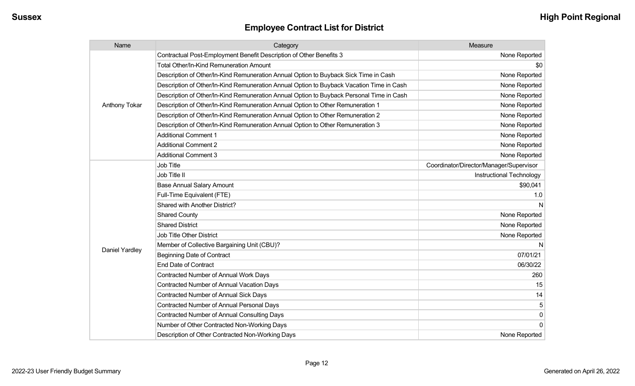| Name           | Category                                                                                 | Measure                                 |
|----------------|------------------------------------------------------------------------------------------|-----------------------------------------|
| Anthony Tokar  | Contractual Post-Employment Benefit Description of Other Benefits 3                      | None Reported                           |
|                | Total Other/In-Kind Remuneration Amount                                                  | \$0                                     |
|                | Description of Other/In-Kind Remuneration Annual Option to Buyback Sick Time in Cash     | None Reported                           |
|                | Description of Other/In-Kind Remuneration Annual Option to Buyback Vacation Time in Cash | None Reported                           |
|                | Description of Other/In-Kind Remuneration Annual Option to Buyback Personal Time in Cash | None Reported                           |
|                | Description of Other/In-Kind Remuneration Annual Option to Other Remuneration 1          | None Reported                           |
|                | Description of Other/In-Kind Remuneration Annual Option to Other Remuneration 2          | None Reported                           |
|                | Description of Other/In-Kind Remuneration Annual Option to Other Remuneration 3          | None Reported                           |
|                | <b>Additional Comment 1</b>                                                              | None Reported                           |
|                | <b>Additional Comment 2</b>                                                              | None Reported                           |
|                | <b>Additional Comment 3</b>                                                              | None Reported                           |
|                | <b>Job Title</b>                                                                         | Coordinator/Director/Manager/Supervisor |
|                | Job Title II                                                                             | Instructional Technology                |
|                | <b>Base Annual Salary Amount</b>                                                         | \$90,041                                |
|                | Full-Time Equivalent (FTE)                                                               | 1.0                                     |
|                | Shared with Another District?                                                            |                                         |
|                | <b>Shared County</b>                                                                     | None Reported                           |
|                | <b>Shared District</b>                                                                   | None Reported                           |
|                | Job Title Other District                                                                 | None Reported                           |
|                | Member of Collective Bargaining Unit (CBU)?                                              |                                         |
| Daniel Yardley | <b>Beginning Date of Contract</b>                                                        | 07/01/21                                |
|                | <b>End Date of Contract</b>                                                              | 06/30/22                                |
|                | <b>Contracted Number of Annual Work Days</b>                                             | 260                                     |
|                | <b>Contracted Number of Annual Vacation Days</b>                                         | 15                                      |
|                | <b>Contracted Number of Annual Sick Days</b>                                             | 14                                      |
|                | <b>Contracted Number of Annual Personal Days</b>                                         | 5                                       |
|                | <b>Contracted Number of Annual Consulting Days</b>                                       | 0                                       |
|                | Number of Other Contracted Non-Working Days                                              | 0                                       |
|                | Description of Other Contracted Non-Working Days                                         | None Reported                           |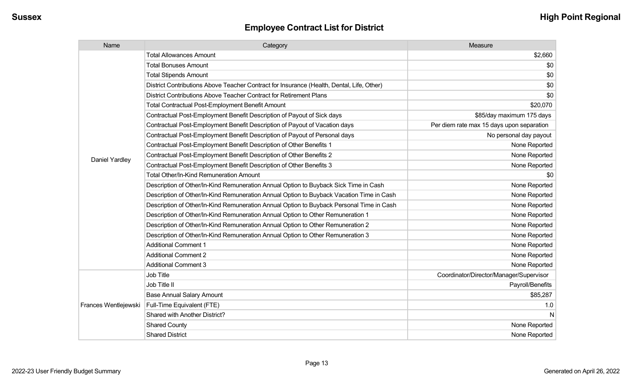| Name                 | Category                                                                                  | Measure                                   |
|----------------------|-------------------------------------------------------------------------------------------|-------------------------------------------|
|                      | <b>Total Allowances Amount</b>                                                            | \$2,660                                   |
|                      | <b>Total Bonuses Amount</b>                                                               | \$0                                       |
|                      | <b>Total Stipends Amount</b>                                                              | \$0                                       |
|                      | District Contributions Above Teacher Contract for Insurance (Health, Dental, Life, Other) | \$0                                       |
|                      | District Contributions Above Teacher Contract for Retirement Plans                        | \$0                                       |
|                      | <b>Total Contractual Post-Employment Benefit Amount</b>                                   | \$20,070                                  |
|                      | Contractual Post-Employment Benefit Description of Payout of Sick days                    | \$85/day maximum 175 days                 |
|                      | Contractual Post-Employment Benefit Description of Payout of Vacation days                | Per diem rate max 15 days upon separation |
|                      | Contractual Post-Employment Benefit Description of Payout of Personal days                | No personal day payout                    |
|                      | Contractual Post-Employment Benefit Description of Other Benefits 1                       | None Reported                             |
| Daniel Yardley       | Contractual Post-Employment Benefit Description of Other Benefits 2                       | None Reported                             |
|                      | Contractual Post-Employment Benefit Description of Other Benefits 3                       | None Reported                             |
|                      | Total Other/In-Kind Remuneration Amount                                                   | \$0                                       |
|                      | Description of Other/In-Kind Remuneration Annual Option to Buyback Sick Time in Cash      | None Reported                             |
|                      | Description of Other/In-Kind Remuneration Annual Option to Buyback Vacation Time in Cash  | None Reported                             |
|                      | Description of Other/In-Kind Remuneration Annual Option to Buyback Personal Time in Cash  | None Reported                             |
|                      | Description of Other/In-Kind Remuneration Annual Option to Other Remuneration 1           | None Reported                             |
|                      | Description of Other/In-Kind Remuneration Annual Option to Other Remuneration 2           | None Reported                             |
|                      | Description of Other/In-Kind Remuneration Annual Option to Other Remuneration 3           | None Reported                             |
|                      | <b>Additional Comment 1</b>                                                               | None Reported                             |
|                      | <b>Additional Comment 2</b>                                                               | None Reported                             |
|                      | <b>Additional Comment 3</b>                                                               | None Reported                             |
|                      | Job Title                                                                                 | Coordinator/Director/Manager/Supervisor   |
|                      | Job Title II                                                                              | Payroll/Benefits                          |
|                      | <b>Base Annual Salary Amount</b>                                                          | \$85,287                                  |
| Frances Wentlejewski | Full-Time Equivalent (FTE)                                                                | 1.0                                       |
|                      | Shared with Another District?                                                             | <sub>N</sub>                              |
|                      | <b>Shared County</b>                                                                      | None Reported                             |
|                      | <b>Shared District</b>                                                                    | None Reported                             |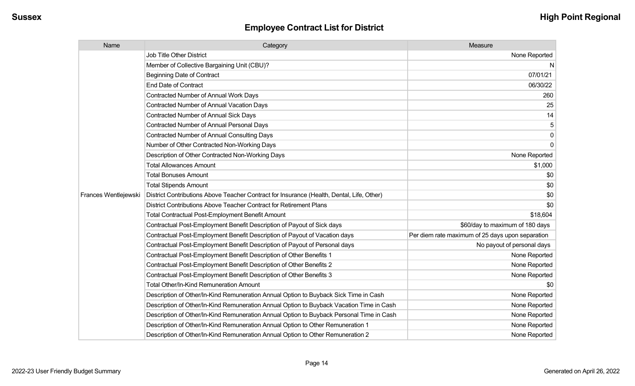| Name                 | Category                                                                                  | Measure                                          |
|----------------------|-------------------------------------------------------------------------------------------|--------------------------------------------------|
|                      | <b>Job Title Other District</b>                                                           | None Reported                                    |
|                      | Member of Collective Bargaining Unit (CBU)?                                               | N.                                               |
|                      | <b>Beginning Date of Contract</b>                                                         | 07/01/21                                         |
|                      | <b>End Date of Contract</b>                                                               | 06/30/22                                         |
|                      | <b>Contracted Number of Annual Work Days</b>                                              | 260                                              |
|                      | <b>Contracted Number of Annual Vacation Days</b>                                          | 25                                               |
|                      | <b>Contracted Number of Annual Sick Days</b>                                              | 14                                               |
|                      | <b>Contracted Number of Annual Personal Days</b>                                          |                                                  |
|                      | <b>Contracted Number of Annual Consulting Days</b>                                        | 0                                                |
|                      | Number of Other Contracted Non-Working Days                                               | $\Omega$                                         |
|                      | Description of Other Contracted Non-Working Days                                          | None Reported                                    |
|                      | <b>Total Allowances Amount</b>                                                            | \$1,000                                          |
|                      | <b>Total Bonuses Amount</b>                                                               | \$0                                              |
|                      | <b>Total Stipends Amount</b>                                                              | \$0                                              |
| Frances Wentlejewski | District Contributions Above Teacher Contract for Insurance (Health, Dental, Life, Other) | \$0                                              |
|                      | District Contributions Above Teacher Contract for Retirement Plans                        | \$0                                              |
|                      | <b>Total Contractual Post-Employment Benefit Amount</b>                                   | \$18,604                                         |
|                      | Contractual Post-Employment Benefit Description of Payout of Sick days                    | \$60/day to maximum of 180 days                  |
|                      | Contractual Post-Employment Benefit Description of Payout of Vacation days                | Per diem rate maximum of 25 days upon separation |
|                      | Contractual Post-Employment Benefit Description of Payout of Personal days                | No payout of personal days                       |
|                      | Contractual Post-Employment Benefit Description of Other Benefits 1                       | None Reported                                    |
|                      | Contractual Post-Employment Benefit Description of Other Benefits 2                       | None Reported                                    |
|                      | Contractual Post-Employment Benefit Description of Other Benefits 3                       | None Reported                                    |
|                      | Total Other/In-Kind Remuneration Amount                                                   | \$0                                              |
|                      | Description of Other/In-Kind Remuneration Annual Option to Buyback Sick Time in Cash      | None Reported                                    |
|                      | Description of Other/In-Kind Remuneration Annual Option to Buyback Vacation Time in Cash  | None Reported                                    |
|                      | Description of Other/In-Kind Remuneration Annual Option to Buyback Personal Time in Cash  | None Reported                                    |
|                      | Description of Other/In-Kind Remuneration Annual Option to Other Remuneration 1           | None Reported                                    |
|                      | Description of Other/In-Kind Remuneration Annual Option to Other Remuneration 2           | None Reported                                    |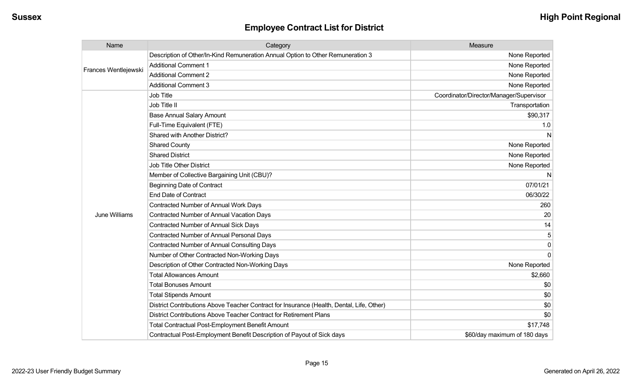| Name                                  | Category                                                                                  | Measure                                 |
|---------------------------------------|-------------------------------------------------------------------------------------------|-----------------------------------------|
|                                       | Description of Other/In-Kind Remuneration Annual Option to Other Remuneration 3           | None Reported                           |
|                                       | <b>Additional Comment 1</b>                                                               | None Reported                           |
|                                       | <b>Additional Comment 2</b>                                                               | None Reported                           |
|                                       | <b>Additional Comment 3</b>                                                               | None Reported                           |
|                                       | <b>Job Title</b>                                                                          | Coordinator/Director/Manager/Supervisor |
| Frances Wentlejewski<br>June Williams | Job Title II                                                                              | Transportation                          |
|                                       | <b>Base Annual Salary Amount</b>                                                          | \$90,317                                |
|                                       | Full-Time Equivalent (FTE)                                                                | 1.0                                     |
|                                       | <b>Shared with Another District?</b>                                                      | N                                       |
|                                       | <b>Shared County</b>                                                                      | None Reported                           |
|                                       | <b>Shared District</b>                                                                    | None Reported                           |
|                                       | <b>Job Title Other District</b>                                                           | None Reported                           |
|                                       | Member of Collective Bargaining Unit (CBU)?                                               | N                                       |
|                                       | <b>Beginning Date of Contract</b>                                                         | 07/01/21                                |
|                                       | <b>End Date of Contract</b>                                                               | 06/30/22                                |
|                                       | Contracted Number of Annual Work Days                                                     | 260                                     |
|                                       | <b>Contracted Number of Annual Vacation Days</b>                                          | 20                                      |
|                                       | Contracted Number of Annual Sick Days                                                     | 14                                      |
|                                       | <b>Contracted Number of Annual Personal Days</b>                                          | 5                                       |
|                                       | <b>Contracted Number of Annual Consulting Days</b>                                        | 0                                       |
|                                       | Number of Other Contracted Non-Working Days                                               | $\Omega$                                |
|                                       | Description of Other Contracted Non-Working Days                                          | None Reported                           |
|                                       | <b>Total Allowances Amount</b>                                                            | \$2,660                                 |
|                                       | <b>Total Bonuses Amount</b>                                                               | \$0                                     |
|                                       | <b>Total Stipends Amount</b>                                                              | \$0                                     |
|                                       | District Contributions Above Teacher Contract for Insurance (Health, Dental, Life, Other) | \$0                                     |
|                                       | District Contributions Above Teacher Contract for Retirement Plans                        | \$0                                     |
|                                       | <b>Total Contractual Post-Employment Benefit Amount</b>                                   | \$17,748                                |
|                                       | Contractual Post-Employment Benefit Description of Payout of Sick days                    | \$60/day maximum of 180 days            |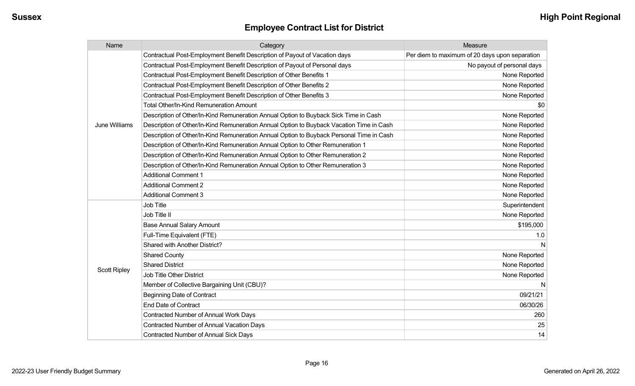| Name                | Category                                                                                 | Measure                                        |
|---------------------|------------------------------------------------------------------------------------------|------------------------------------------------|
|                     | Contractual Post-Employment Benefit Description of Payout of Vacation days               | Per diem to maximum of 20 days upon separation |
|                     | Contractual Post-Employment Benefit Description of Payout of Personal days               | No payout of personal days                     |
|                     | Contractual Post-Employment Benefit Description of Other Benefits 1                      | None Reported                                  |
|                     | Contractual Post-Employment Benefit Description of Other Benefits 2                      | None Reported                                  |
|                     | Contractual Post-Employment Benefit Description of Other Benefits 3                      | None Reported                                  |
|                     | <b>Total Other/In-Kind Remuneration Amount</b>                                           | \$0                                            |
|                     | Description of Other/In-Kind Remuneration Annual Option to Buyback Sick Time in Cash     | None Reported                                  |
| June Williams       | Description of Other/In-Kind Remuneration Annual Option to Buyback Vacation Time in Cash | None Reported                                  |
|                     | Description of Other/In-Kind Remuneration Annual Option to Buyback Personal Time in Cash | None Reported                                  |
|                     | Description of Other/In-Kind Remuneration Annual Option to Other Remuneration 1          | None Reported                                  |
|                     | Description of Other/In-Kind Remuneration Annual Option to Other Remuneration 2          | None Reported                                  |
|                     | Description of Other/In-Kind Remuneration Annual Option to Other Remuneration 3          | None Reported                                  |
|                     | <b>Additional Comment 1</b>                                                              | None Reported                                  |
|                     | <b>Additional Comment 2</b>                                                              | None Reported                                  |
|                     | <b>Additional Comment 3</b>                                                              | None Reported                                  |
|                     | Job Title                                                                                | Superintendent                                 |
|                     | Job Title II                                                                             | None Reported                                  |
|                     | <b>Base Annual Salary Amount</b>                                                         | \$195,000                                      |
|                     | Full-Time Equivalent (FTE)                                                               | 1.0                                            |
|                     | Shared with Another District?                                                            | N                                              |
|                     | <b>Shared County</b>                                                                     | None Reported                                  |
| <b>Scott Ripley</b> | <b>Shared District</b>                                                                   | None Reported                                  |
|                     | Job Title Other District                                                                 | None Reported                                  |
|                     | Member of Collective Bargaining Unit (CBU)?                                              | N                                              |
|                     | <b>Beginning Date of Contract</b>                                                        | 09/21/21                                       |
|                     | <b>End Date of Contract</b>                                                              | 06/30/26                                       |
|                     | Contracted Number of Annual Work Days                                                    | 260                                            |
|                     | <b>Contracted Number of Annual Vacation Days</b>                                         | 25                                             |
|                     | Contracted Number of Annual Sick Days                                                    | 14                                             |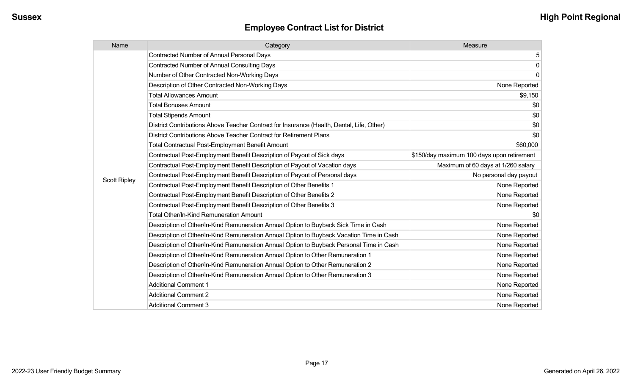| Name                | Category                                                                                  | Measure                                    |
|---------------------|-------------------------------------------------------------------------------------------|--------------------------------------------|
|                     | <b>Contracted Number of Annual Personal Days</b>                                          | 5                                          |
|                     | <b>Contracted Number of Annual Consulting Days</b>                                        | $\mathbf 0$                                |
|                     | Number of Other Contracted Non-Working Days                                               | $\mathbf 0$                                |
|                     | Description of Other Contracted Non-Working Days                                          | None Reported                              |
|                     | <b>Total Allowances Amount</b>                                                            | \$9,150                                    |
|                     | <b>Total Bonuses Amount</b>                                                               | \$0                                        |
|                     | <b>Total Stipends Amount</b>                                                              | \$0                                        |
|                     | District Contributions Above Teacher Contract for Insurance (Health, Dental, Life, Other) | \$0                                        |
|                     | District Contributions Above Teacher Contract for Retirement Plans                        | \$0                                        |
|                     | <b>Total Contractual Post-Employment Benefit Amount</b>                                   | \$60,000                                   |
|                     | Contractual Post-Employment Benefit Description of Payout of Sick days                    | \$150/day maximum 100 days upon retirement |
|                     | Contractual Post-Employment Benefit Description of Payout of Vacation days                | Maximum of 60 days at 1/260 salary         |
|                     | Contractual Post-Employment Benefit Description of Payout of Personal days                | No personal day payout                     |
| <b>Scott Ripley</b> | Contractual Post-Employment Benefit Description of Other Benefits 1                       | None Reported                              |
|                     | Contractual Post-Employment Benefit Description of Other Benefits 2                       | None Reported                              |
|                     | Contractual Post-Employment Benefit Description of Other Benefits 3                       | None Reported                              |
|                     | <b>Total Other/In-Kind Remuneration Amount</b>                                            | \$0                                        |
|                     | Description of Other/In-Kind Remuneration Annual Option to Buyback Sick Time in Cash      | None Reported                              |
|                     | Description of Other/In-Kind Remuneration Annual Option to Buyback Vacation Time in Cash  | None Reported                              |
|                     | Description of Other/In-Kind Remuneration Annual Option to Buyback Personal Time in Cash  | None Reported                              |
|                     | Description of Other/In-Kind Remuneration Annual Option to Other Remuneration 1           | None Reported                              |
|                     | Description of Other/In-Kind Remuneration Annual Option to Other Remuneration 2           | None Reported                              |
|                     | Description of Other/In-Kind Remuneration Annual Option to Other Remuneration 3           | None Reported                              |
|                     | <b>Additional Comment 1</b>                                                               | None Reported                              |
|                     | <b>Additional Comment 2</b>                                                               | None Reported                              |
|                     | <b>Additional Comment 3</b>                                                               | None Reported                              |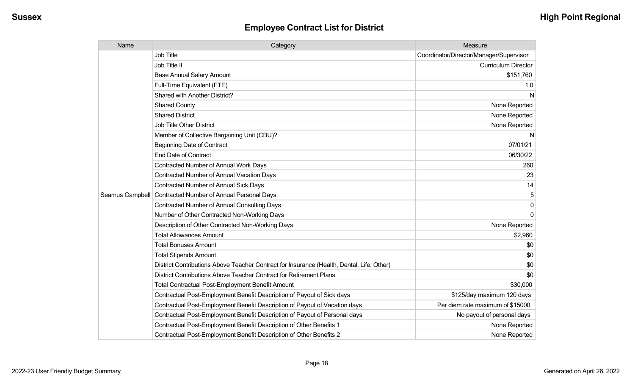| Name            | Category                                                                                  | Measure                                 |
|-----------------|-------------------------------------------------------------------------------------------|-----------------------------------------|
|                 | <b>Job Title</b>                                                                          | Coordinator/Director/Manager/Supervisor |
|                 | Job Title II                                                                              | <b>Curriculum Director</b>              |
|                 | <b>Base Annual Salary Amount</b>                                                          | \$151,760                               |
|                 | Full-Time Equivalent (FTE)                                                                | 1.0                                     |
|                 | Shared with Another District?                                                             | N                                       |
|                 | <b>Shared County</b>                                                                      | None Reported                           |
|                 | <b>Shared District</b>                                                                    | None Reported                           |
|                 | <b>Job Title Other District</b>                                                           | None Reported                           |
|                 | Member of Collective Bargaining Unit (CBU)?                                               | N                                       |
|                 | <b>Beginning Date of Contract</b>                                                         | 07/01/21                                |
|                 | <b>End Date of Contract</b>                                                               | 06/30/22                                |
|                 | <b>Contracted Number of Annual Work Days</b>                                              | 260                                     |
|                 | Contracted Number of Annual Vacation Days                                                 | 23                                      |
|                 | Contracted Number of Annual Sick Days                                                     | 14                                      |
| Seamus Campbell | Contracted Number of Annual Personal Days                                                 |                                         |
|                 | <b>Contracted Number of Annual Consulting Days</b>                                        | $\mathbf{0}$                            |
|                 | Number of Other Contracted Non-Working Days                                               | $\Omega$                                |
|                 | Description of Other Contracted Non-Working Days                                          | None Reported                           |
|                 | <b>Total Allowances Amount</b>                                                            | \$2,960                                 |
|                 | <b>Total Bonuses Amount</b>                                                               | \$0                                     |
|                 | <b>Total Stipends Amount</b>                                                              | \$0                                     |
|                 | District Contributions Above Teacher Contract for Insurance (Health, Dental, Life, Other) | \$0                                     |
|                 | District Contributions Above Teacher Contract for Retirement Plans                        | \$0                                     |
|                 | <b>Total Contractual Post-Employment Benefit Amount</b>                                   | \$30,000                                |
|                 | Contractual Post-Employment Benefit Description of Payout of Sick days                    | \$125/day maximum 120 days              |
|                 | Contractual Post-Employment Benefit Description of Payout of Vacation days                | Per diem rate maximum of \$15000        |
|                 | Contractual Post-Employment Benefit Description of Payout of Personal days                | No payout of personal days              |
|                 | Contractual Post-Employment Benefit Description of Other Benefits 1                       | None Reported                           |
|                 | Contractual Post-Employment Benefit Description of Other Benefits 2                       | None Reported                           |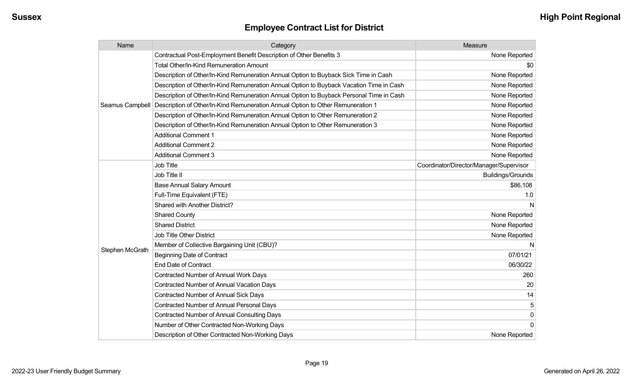| Name            | Category                                                                                 | Measure                                 |
|-----------------|------------------------------------------------------------------------------------------|-----------------------------------------|
|                 | Contractual Post-Employment Benefit Description of Other Benefits 3                      | None Reported                           |
|                 | Total Other/In-Kind Remuneration Amount                                                  | \$0                                     |
|                 | Description of Other/In-Kind Remuneration Annual Option to Buyback Sick Time in Cash     | None Reported                           |
|                 | Description of Other/In-Kind Remuneration Annual Option to Buyback Vacation Time in Cash | None Reported                           |
|                 | Description of Other/In-Kind Remuneration Annual Option to Buyback Personal Time in Cash | None Reported                           |
| Seamus Campbell | Description of Other/In-Kind Remuneration Annual Option to Other Remuneration 1          | None Reported                           |
|                 | Description of Other/In-Kind Remuneration Annual Option to Other Remuneration 2          | None Reported                           |
|                 | Description of Other/In-Kind Remuneration Annual Option to Other Remuneration 3          | None Reported                           |
|                 | <b>Additional Comment 1</b>                                                              | None Reported                           |
|                 | <b>Additional Comment 2</b>                                                              | None Reported                           |
|                 | <b>Additional Comment 3</b>                                                              | None Reported                           |
|                 | Job Title                                                                                | Coordinator/Director/Manager/Supervisor |
|                 | Job Title II                                                                             | <b>Buildings/Grounds</b>                |
|                 | <b>Base Annual Salary Amount</b>                                                         | \$86,108                                |
|                 | Full-Time Equivalent (FTE)                                                               | 1.0                                     |
|                 | Shared with Another District?                                                            | N                                       |
|                 | <b>Shared County</b>                                                                     | None Reported                           |
|                 | <b>Shared District</b>                                                                   | None Reported                           |
|                 | <b>Job Title Other District</b>                                                          | None Reported                           |
|                 | Member of Collective Bargaining Unit (CBU)?                                              | N                                       |
| Stephen McGrath | <b>Beginning Date of Contract</b>                                                        | 07/01/21                                |
|                 | <b>End Date of Contract</b>                                                              | 06/30/22                                |
|                 | <b>Contracted Number of Annual Work Days</b>                                             | 260                                     |
|                 | <b>Contracted Number of Annual Vacation Days</b>                                         | 20                                      |
|                 | Contracted Number of Annual Sick Days                                                    | 14                                      |
|                 | <b>Contracted Number of Annual Personal Days</b>                                         | 5                                       |
|                 | <b>Contracted Number of Annual Consulting Days</b>                                       | $\pmb{0}$                               |
|                 | Number of Other Contracted Non-Working Days                                              | $\mathbf 0$                             |
|                 | Description of Other Contracted Non-Working Days                                         | None Reported                           |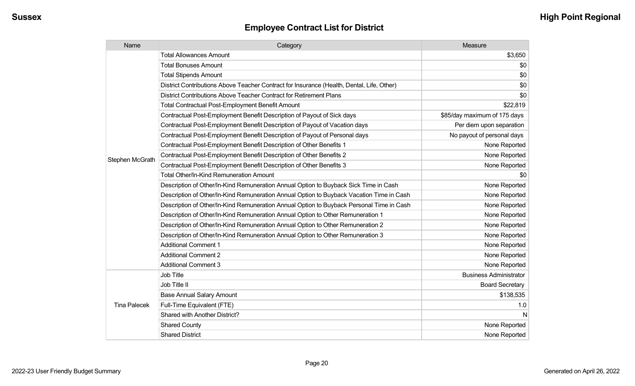| Name                | Category                                                                                  | Measure                       |
|---------------------|-------------------------------------------------------------------------------------------|-------------------------------|
|                     | <b>Total Allowances Amount</b>                                                            | \$3,650                       |
|                     | <b>Total Bonuses Amount</b>                                                               | \$0                           |
|                     | <b>Total Stipends Amount</b>                                                              | \$0                           |
|                     | District Contributions Above Teacher Contract for Insurance (Health, Dental, Life, Other) | \$0                           |
|                     | District Contributions Above Teacher Contract for Retirement Plans                        | \$0                           |
|                     | Total Contractual Post-Employment Benefit Amount                                          | \$22,819                      |
|                     | Contractual Post-Employment Benefit Description of Payout of Sick days                    | \$85/day maximum of 175 days  |
|                     | Contractual Post-Employment Benefit Description of Payout of Vacation days                | Per diem upon separation      |
|                     | Contractual Post-Employment Benefit Description of Payout of Personal days                | No payout of personal days    |
|                     | Contractual Post-Employment Benefit Description of Other Benefits 1                       | None Reported                 |
| Stephen McGrath     | Contractual Post-Employment Benefit Description of Other Benefits 2                       | None Reported                 |
|                     | Contractual Post-Employment Benefit Description of Other Benefits 3                       | None Reported                 |
|                     | Total Other/In-Kind Remuneration Amount                                                   | \$0                           |
|                     | Description of Other/In-Kind Remuneration Annual Option to Buyback Sick Time in Cash      | None Reported                 |
|                     | Description of Other/In-Kind Remuneration Annual Option to Buyback Vacation Time in Cash  | None Reported                 |
|                     | Description of Other/In-Kind Remuneration Annual Option to Buyback Personal Time in Cash  | None Reported                 |
|                     | Description of Other/In-Kind Remuneration Annual Option to Other Remuneration 1           | None Reported                 |
|                     | Description of Other/In-Kind Remuneration Annual Option to Other Remuneration 2           | None Reported                 |
|                     | Description of Other/In-Kind Remuneration Annual Option to Other Remuneration 3           | None Reported                 |
|                     | <b>Additional Comment 1</b>                                                               | None Reported                 |
|                     | <b>Additional Comment 2</b>                                                               | None Reported                 |
|                     | <b>Additional Comment 3</b>                                                               | None Reported                 |
|                     | <b>Job Title</b>                                                                          | <b>Business Administrator</b> |
|                     | Job Title II                                                                              | <b>Board Secretary</b>        |
|                     | <b>Base Annual Salary Amount</b>                                                          | \$138,535                     |
| <b>Tina Palecek</b> | Full-Time Equivalent (FTE)                                                                | 1.0                           |
|                     | Shared with Another District?                                                             | N                             |
|                     | <b>Shared County</b>                                                                      | None Reported                 |
|                     | <b>Shared District</b>                                                                    | None Reported                 |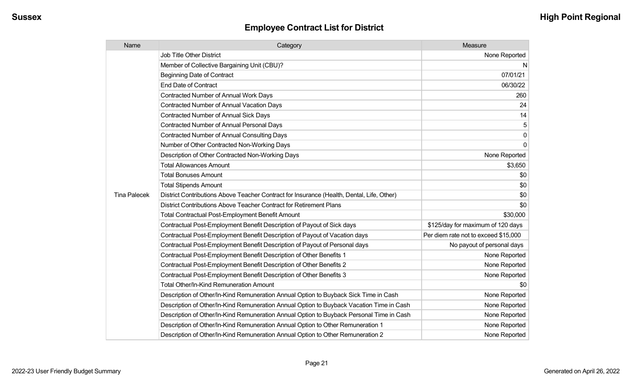| Name                | Category                                                                                  | Measure                              |
|---------------------|-------------------------------------------------------------------------------------------|--------------------------------------|
|                     | <b>Job Title Other District</b>                                                           | None Reported                        |
|                     | Member of Collective Bargaining Unit (CBU)?                                               | N                                    |
|                     | <b>Beginning Date of Contract</b>                                                         | 07/01/21                             |
|                     | <b>End Date of Contract</b>                                                               | 06/30/22                             |
|                     | <b>Contracted Number of Annual Work Days</b>                                              | 260                                  |
|                     | Contracted Number of Annual Vacation Days                                                 | 24                                   |
|                     | <b>Contracted Number of Annual Sick Days</b>                                              | 14                                   |
|                     | Contracted Number of Annual Personal Days                                                 | 5                                    |
|                     | Contracted Number of Annual Consulting Days                                               | 0                                    |
|                     | Number of Other Contracted Non-Working Days                                               | 0                                    |
|                     | Description of Other Contracted Non-Working Days                                          | None Reported                        |
|                     | <b>Total Allowances Amount</b>                                                            | \$3,650                              |
|                     | <b>Total Bonuses Amount</b>                                                               | \$0                                  |
|                     | <b>Total Stipends Amount</b>                                                              | \$0                                  |
| <b>Tina Palecek</b> | District Contributions Above Teacher Contract for Insurance (Health, Dental, Life, Other) | \$0                                  |
|                     | District Contributions Above Teacher Contract for Retirement Plans                        | \$0                                  |
|                     | <b>Total Contractual Post-Employment Benefit Amount</b>                                   | \$30,000                             |
|                     | Contractual Post-Employment Benefit Description of Payout of Sick days                    | \$125/day for maximum of 120 days    |
|                     | Contractual Post-Employment Benefit Description of Payout of Vacation days                | Per diem rate not to exceed \$15,000 |
|                     | Contractual Post-Employment Benefit Description of Payout of Personal days                | No payout of personal days           |
|                     | Contractual Post-Employment Benefit Description of Other Benefits 1                       | None Reported                        |
|                     | Contractual Post-Employment Benefit Description of Other Benefits 2                       | None Reported                        |
|                     | Contractual Post-Employment Benefit Description of Other Benefits 3                       | None Reported                        |
|                     | Total Other/In-Kind Remuneration Amount                                                   | \$0                                  |
|                     | Description of Other/In-Kind Remuneration Annual Option to Buyback Sick Time in Cash      | None Reported                        |
|                     | Description of Other/In-Kind Remuneration Annual Option to Buyback Vacation Time in Cash  | None Reported                        |
|                     | Description of Other/In-Kind Remuneration Annual Option to Buyback Personal Time in Cash  | None Reported                        |
|                     | Description of Other/In-Kind Remuneration Annual Option to Other Remuneration 1           | None Reported                        |
|                     | Description of Other/In-Kind Remuneration Annual Option to Other Remuneration 2           | None Reported                        |